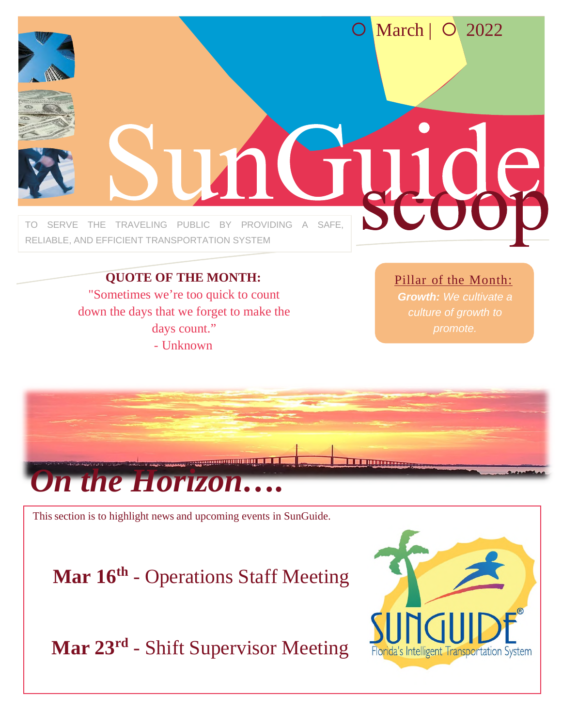

**QUOTE OF THE MONTH:** "Sometimes we're too quick to count down the days that we forget to make the days count." - Unknown

Pillar of the Month:

*Growth: We cultivate a* 



This section is to highlight news and upcoming events in SunGuide.

**Mar 16th** - Operations Staff Meeting

**Mar 23rd** - Shift Supervisor Meeting

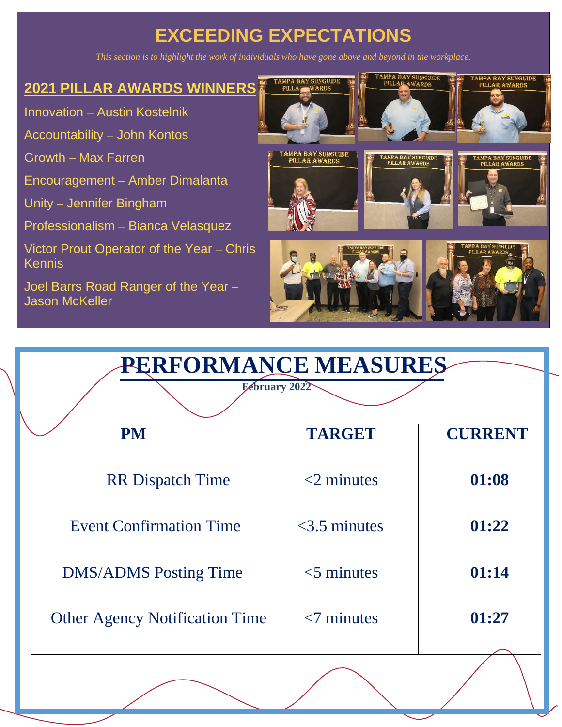## **EXCEEDING EXPECTATIONS**

*This section is to highlight the work of individuals who have gone above and beyond in the workplace.*

#### **2021 PILLAR AWARDS WINNERS**

Innovation – Austin Kostelnik

Accountability – John Kontos

Growth – Max Farren

Encouragement – Amber Dimalanta

Unity – Jennifer Bingham

Professionalism – Bianca Velasquez

Victor Prout Operator of the Year – Chris Kennis

Joel Barrs Road Ranger of the Year – Jason McKeller



| <b>PERFORMANCE MEASURES</b>           |                 |                |
|---------------------------------------|-----------------|----------------|
| February 2022                         |                 |                |
| <b>PM</b>                             | <b>TARGET</b>   | <b>CURRENT</b> |
| <b>RR</b> Dispatch Time               | $<$ 2 minutes   | 01:08          |
| <b>Event Confirmation Time</b>        | $<$ 3.5 minutes | 01:22          |
| <b>DMS/ADMS</b> Posting Time          | $<$ 5 minutes   | 01:14          |
| <b>Other Agency Notification Time</b> | $< 7$ minutes   | 01:27          |
|                                       |                 |                |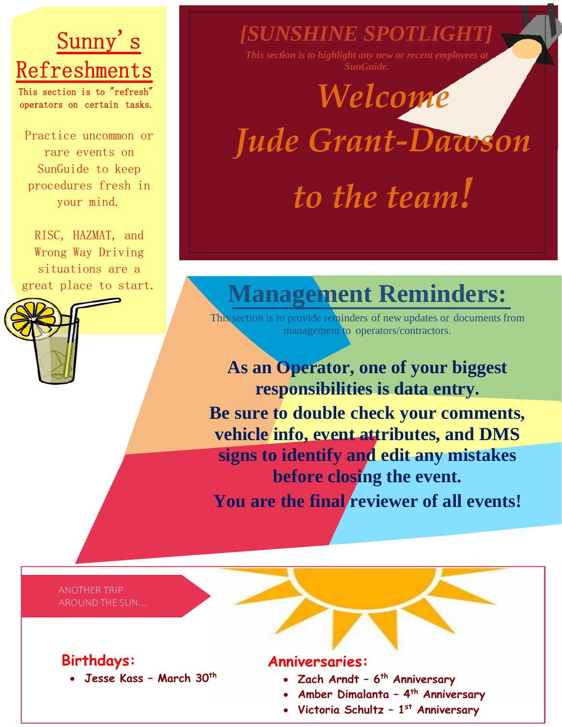# Sunny's Refreshments

This section is to  $"$ refresh $"$ operators on certain tasks.

Practice uncommon or rare events on SunGuide to keep procedures fresh in your mind.

RISC, HAZMAT, and Wrong Way Driving situations are a



## *[SUNSHINE SPOTLIGHT]*

*SunGuide.*

# *Welcome Jude Grant-Dawson*

*to the team!* 

# great place to start. **Management Reminders:**

This section is to provide reminders of new updates or documents from management to operators/contractors.

**As an Operator, one of your biggest responsibilities is data entry. Be sure to double check your comments, vehicle info, event attributes, and DMS signs to identify and edit any mistakes before closing the event.**  You are the final reviewer of all events!

ANOTHER TRIP AROUND THE SUN…

#### **Birthdays:**

**Jesse Kass – March 30th**

#### **Anniversaries:**

- **Zach Arndt 6th Anniversary**
- **Amber Dimalanta 4th Anniversary**
- **Victoria Schultz 1st Anniversary**